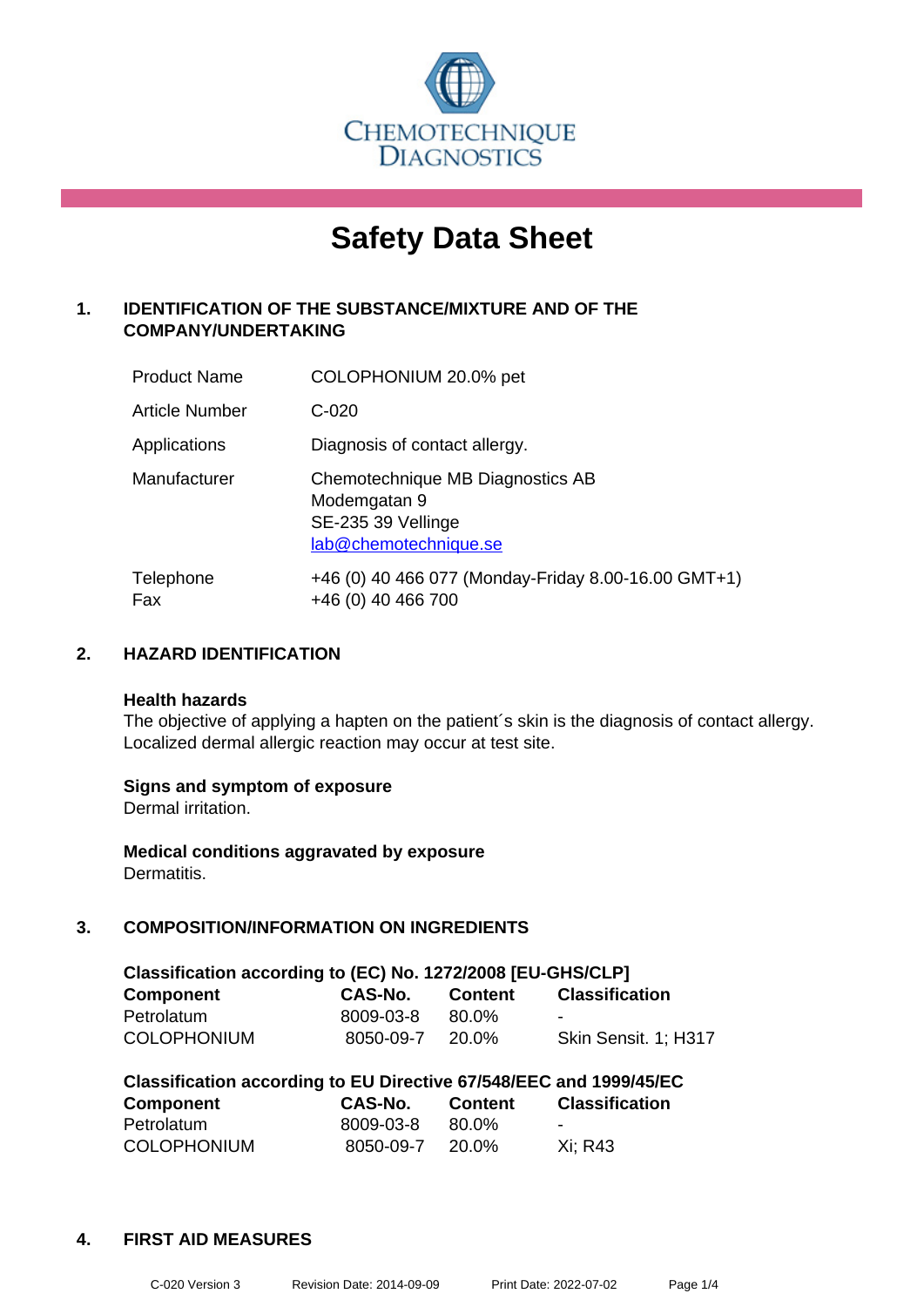

# **Safety Data Sheet**

## **1. IDENTIFICATION OF THE SUBSTANCE/MIXTURE AND OF THE COMPANY/UNDERTAKING**

| <b>Product Name</b>   | COLOPHONIUM 20.0% pet                                                                           |
|-----------------------|-------------------------------------------------------------------------------------------------|
| <b>Article Number</b> | $C-020$                                                                                         |
| Applications          | Diagnosis of contact allergy.                                                                   |
| Manufacturer          | Chemotechnique MB Diagnostics AB<br>Modemgatan 9<br>SE-235 39 Vellinge<br>lab@chemotechnique.se |
| Telephone<br>Fax      | +46 (0) 40 466 077 (Monday-Friday 8.00-16.00 GMT+1)<br>+46 (0) 40 466 700                       |

## **2. HAZARD IDENTIFICATION**

#### **Health hazards**

The objective of applying a hapten on the patient's skin is the diagnosis of contact allergy. Localized dermal allergic reaction may occur at test site.

## **Signs and symptom of exposure**

Dermal irritation.

**Medical conditions aggravated by exposure** Dermatitis.

## **3. COMPOSITION/INFORMATION ON INGREDIENTS**

| Classification according to (EC) No. 1272/2008 [EU-GHS/CLP] |           |         |                       |  |
|-------------------------------------------------------------|-----------|---------|-----------------------|--|
| <b>Component</b>                                            | CAS-No.   | Content | <b>Classification</b> |  |
| Petrolatum                                                  | 8009-03-8 | 80.0%   | -                     |  |
| <b>COLOPHONIUM</b>                                          | 8050-09-7 | 20.0%   | Skin Sensit. 1: H317  |  |

| Classification according to EU Directive 67/548/EEC and 1999/45/EC |           |         |                       |  |
|--------------------------------------------------------------------|-----------|---------|-----------------------|--|
| Component                                                          | CAS-No.   | Content | <b>Classification</b> |  |
| Petrolatum                                                         | 8009-03-8 | 80.0%   | -                     |  |
| <b>COLOPHONIUM</b>                                                 | 8050-09-7 | 20.0%   | Xi: R43               |  |

#### **4. FIRST AID MEASURES**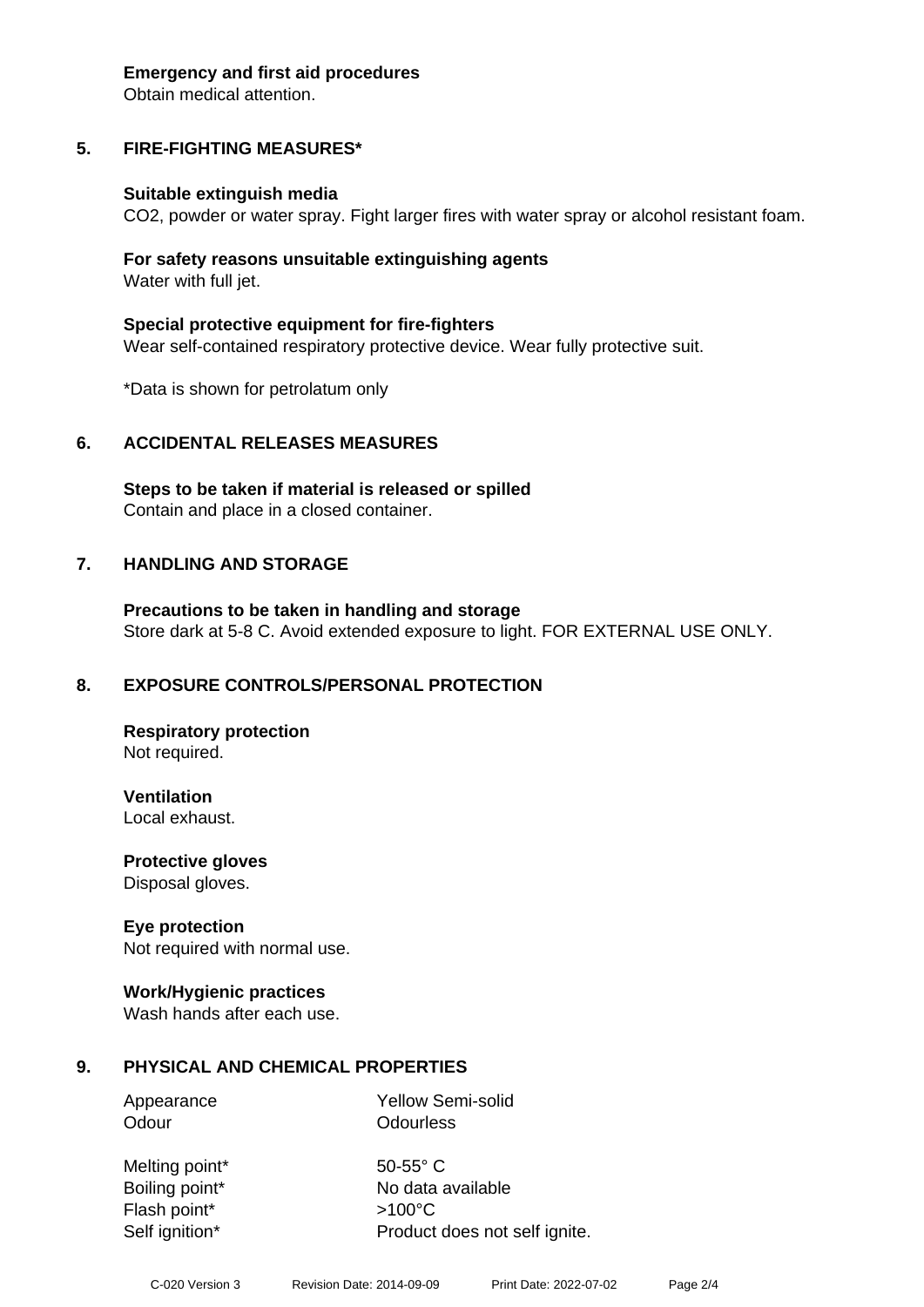#### **Emergency and first aid procedures**

Obtain medical attention.

## **5. FIRE-FIGHTING MEASURES\***

#### **Suitable extinguish media**

CO2, powder or water spray. Fight larger fires with water spray or alcohol resistant foam.

#### **For safety reasons unsuitable extinguishing agents** Water with full jet.

**Special protective equipment for fire-fighters** Wear self-contained respiratory protective device. Wear fully protective suit.

\*Data is shown for petrolatum only

## **6. ACCIDENTAL RELEASES MEASURES**

**Steps to be taken if material is released or spilled** Contain and place in a closed container.

## **7. HANDLING AND STORAGE**

**Precautions to be taken in handling and storage** Store dark at 5-8 C. Avoid extended exposure to light. FOR EXTERNAL USE ONLY.

## **8. EXPOSURE CONTROLS/PERSONAL PROTECTION**

**Respiratory protection** Not required.

**Ventilation**

Local exhaust.

**Protective gloves** Disposal gloves.

## **Eye protection**

Not required with normal use.

## **Work/Hygienic practices**

Wash hands after each use.

## **9. PHYSICAL AND CHEMICAL PROPERTIES**

Appearance Yellow Semi-solid Odour **Odourless** 

Melting point\* 50-55° C Flash point\* >100°C

Boiling point\* No data available Self ignition\* Product does not self ignite.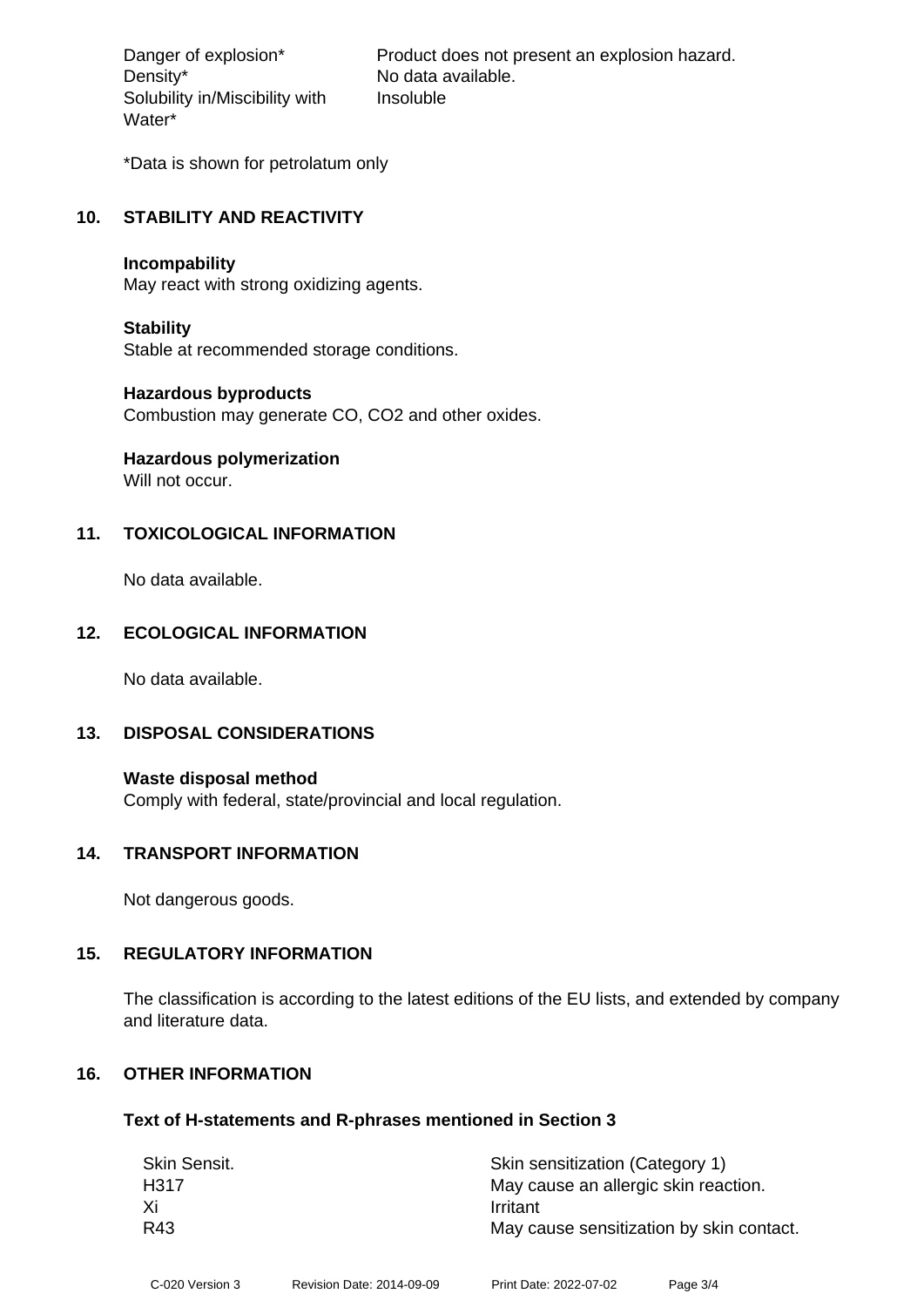Density\* No data available. Solubility in/Miscibility with Water\*

Danger of explosion\* Product does not present an explosion hazard. Insoluble

\*Data is shown for petrolatum only

## **10. STABILITY AND REACTIVITY**

#### **Incompability**

May react with strong oxidizing agents.

#### **Stability**

Stable at recommended storage conditions.

#### **Hazardous byproducts**

Combustion may generate CO, CO2 and other oxides.

## **Hazardous polymerization**

Will not occur.

## **11. TOXICOLOGICAL INFORMATION**

No data available.

## **12. ECOLOGICAL INFORMATION**

No data available.

## **13. DISPOSAL CONSIDERATIONS**

**Waste disposal method** Comply with federal, state/provincial and local regulation.

#### **14. TRANSPORT INFORMATION**

Not dangerous goods.

## **15. REGULATORY INFORMATION**

The classification is according to the latest editions of the EU lists, and extended by company and literature data.

## **16. OTHER INFORMATION**

#### **Text of H-statements and R-phrases mentioned in Section 3**

| Skin Sensit. | Skin sensitization (Category 1)          |
|--------------|------------------------------------------|
| H317         | May cause an allergic skin reaction.     |
| Xi           | Irritant                                 |
| R43          | May cause sensitization by skin contact. |
|              |                                          |